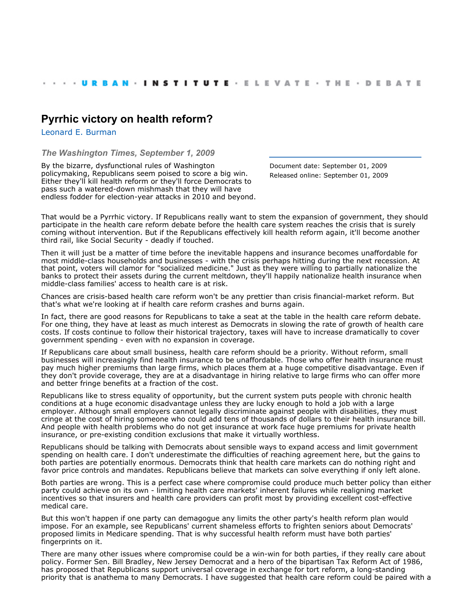## **[Pyrrhic victory on health reform?](http://www.urban.org/index.cfm)**

[Leonard E. Burman](http://www.urban.org/LeonardEBurman)

*The Washington Times, September 1, 2009*

By the bizarre, dysfunctional rules of Washington policymaking, Republicans seem poised to score a big win. Either they'll kill health reform or they'll force Democrats to pass such a watered-down mishmash that they will have endless fodder for election-year attacks in 2010 and beyond. Document date: September 01, 2009 Released online: September 01, 2009

That would be a Pyrrhic victory. If Republicans really want to stem the expansion of government, they should participate in the health care reform debate before the health care system reaches the crisis that is surely coming without intervention. But if the Republicans effectively kill health reform again, it'll become another third rail, like Social Security - deadly if touched.

Then it will just be a matter of time before the inevitable happens and insurance becomes unaffordable for most middle-class households and businesses - with the crisis perhaps hitting during the next recession. At that point, voters will clamor for "socialized medicine." Just as they were willing to partially nationalize the banks to protect their assets during the current meltdown, they'll happily nationalize health insurance when middle-class families' access to health care is at risk.

Chances are crisis-based health care reform won't be any prettier than crisis financial-market reform. But that's what we're looking at if health care reform crashes and burns again.

In fact, there are good reasons for Republicans to take a seat at the table in the health care reform debate. For one thing, they have at least as much interest as Democrats in slowing the rate of growth of health care costs. If costs continue to follow their historical trajectory, taxes will have to increase dramatically to cover government spending - even with no expansion in coverage.

If Republicans care about small business, health care reform should be a priority. Without reform, small businesses will increasingly find health insurance to be unaffordable. Those who offer health insurance must pay much higher premiums than large firms, which places them at a huge competitive disadvantage. Even if they don't provide coverage, they are at a disadvantage in hiring relative to large firms who can offer more and better fringe benefits at a fraction of the cost.

Republicans like to stress equality of opportunity, but the current system puts people with chronic health conditions at a huge economic disadvantage unless they are lucky enough to hold a job with a large employer. Although small employers cannot legally discriminate against people with disabilities, they must cringe at the cost of hiring someone who could add tens of thousands of dollars to their health insurance bill. And people with health problems who do not get insurance at work face huge premiums for private health insurance, or pre-existing condition exclusions that make it virtually worthless.

Republicans should be talking with Democrats about sensible ways to expand access and limit government spending on health care. I don't underestimate the difficulties of reaching agreement here, but the gains to both parties are potentially enormous. Democrats think that health care markets can do nothing right and favor price controls and mandates. Republicans believe that markets can solve everything if only left alone.

Both parties are wrong. This is a perfect case where compromise could produce much better policy than either party could achieve on its own - limiting health care markets' inherent failures while realigning market incentives so that insurers and health care providers can profit most by providing excellent cost-effective medical care.

But this won't happen if one party can demagogue any limits the other party's health reform plan would impose. For an example, see Republicans' current shameless efforts to frighten seniors about Democrats' proposed limits in Medicare spending. That is why successful health reform must have both parties' fingerprints on it.

There are many other issues where compromise could be a win-win for both parties, if they really care about policy. Former Sen. Bill Bradley, New Jersey Democrat and a hero of the bipartisan Tax Reform Act of 1986, has proposed that Republicans support universal coverage in exchange for tort reform, a long-standing priority that is anathema to many Democrats. I have suggested that health care reform could be paired with a